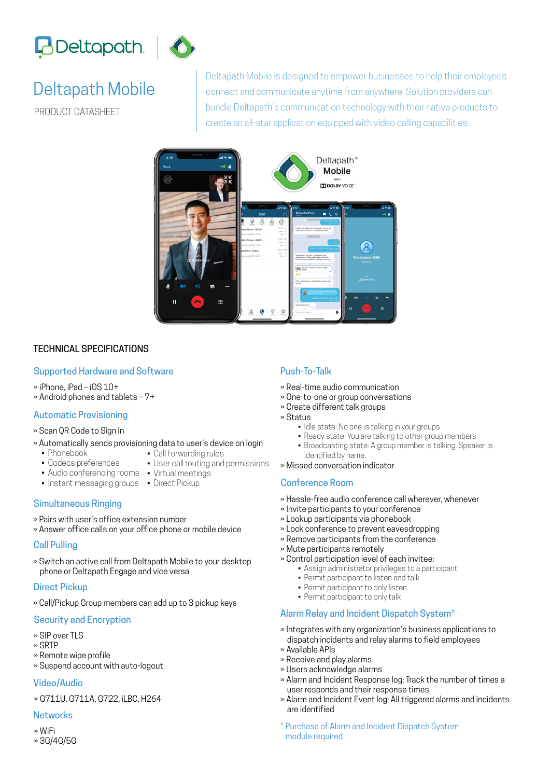



# Deltapath Mobile

PRODUCT DATASHEET

Deltapath Mobile is designed to empower businesses to help their employees connect and communicate anytime from anywhere. Solution providers can bundle Deltapath's communication technology with their native products to create an all-star application equipped with video calling capabilities.



### TECHNICAL SPECIFICATIONS

#### Supported Hardware and Software

- » iPhone, iPad iOS 10+
- » Android phones and tablets 7+

#### Automatic Provisioning

- » Scan QR Code to Sign In
- » Automatically sends provisioning data to user's device on login
	- Phonebook • Codecs preferences
- Call forwarding rules
- User call routing and permissions
- Audio conferencing rooms Virtual meetings
- Instant messaging groups Direct Pickup

#### Simultaneous Ringing

- » Pairs with user's office extension number
- » Answer office calls on your office phone or mobile device

#### Call Pulling

» Switch an active call from Deltapath Mobile to your desktop phone or Deltapath Engage and vice versa

#### Direct Pickup

» Call/Pickup Group members can add up to 3 pickup keys

#### Security and Encryption

- » SIP over TLS
- » SRTP
- » Remote wipe profile
- » Suspend account with auto-logout

#### Video/Audio

» G711U, G711A, G722, iLBC, H264

#### **Networks**

» WiFi » 3G/4G/5G

### Push-To-Talk

- » Real-time audio communication
- » One-to-one or group conversations
- » Create different talk groups
- » Status
	- Idle state: No one is talking in your groups
	- Ready state: You are talking to other group members
	- Broadcasting state: A group member is talking. Speaker is identified by name.
- » Missed conversation indicator

#### Conference Room

- » Hassle-free audio conference call wherever, whenever
- » Invite participants to your conference
- » Lookup participants via phonebook
- » Lock conference to prevent eavesdropping
- » Remove participants from the conference
- » Mute participants remotely
- » Control participation level of each invitee:
	- Assign administrator privileges to a participant
	- Permit participant to listen and talk
	- Permit participant to only listen
	- Permit participant to only talk

#### Alarm Relay and Incident Dispatch System\*

- » Integrates with any organization's business applications to dispatch incidents and relay alarms to field employees
- » Available APIs
- » Receive and play alarms
- » Users acknowledge alarms
- » Alarm and Incident Response log: Track the number of times a user responds and their response times
- » Alarm and Incident Event log: All triggered alarms and incidents are identified
- \* Purchase of Alarm and Incident Dispatch System module required